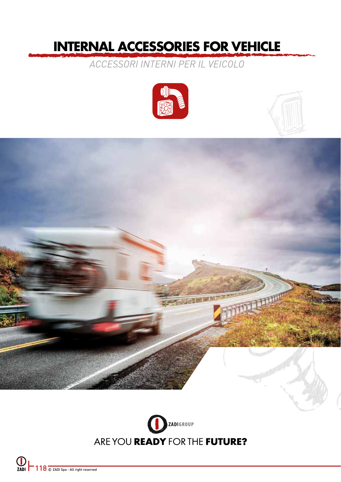# **INTERNAL ACCESSORIES FOR VEHICLE**

*ACCESSORI INTERNI PER IL VEICOLO*





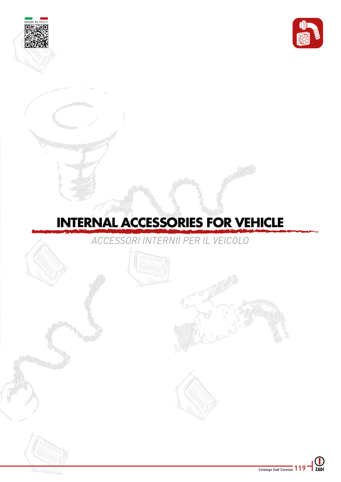



# **INTERNAL ACCESSORIES FOR VEHICLE**

*ACCESSORI INTERNII PER IL VEICOLO*



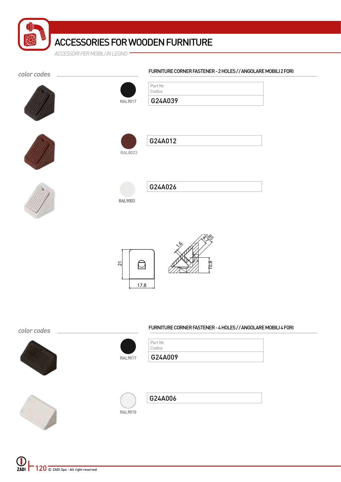*ACCESSORI PER MOBILI IN LEGNO*

| color codes |                         | FURNITURE CORNER FASTENER - 2 HOLES / / ANGOLARE MOBILI 2 FORI |
|-------------|-------------------------|----------------------------------------------------------------|
|             | RAL9017                 | Part Nr.<br>Codice<br>G24A039                                  |
|             | <b>RAL8023</b>          | G24A012                                                        |
|             | <b>RAL9003</b>          | G24A026                                                        |
|             | $\overline{21}$<br>17.8 | $-10.8$                                                        |
|             |                         | FURNITURE CORNER FASTENER - 4 HOLES / / ANGOLARE MOBILI 4 FORI |
| color codes | RAL9017                 | Part Nr.<br>Codice<br>G24A009                                  |
|             | RAL9010                 | G24A006                                                        |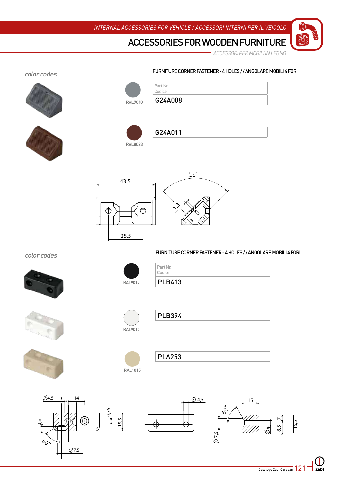*ACCESSORI PER MOBILI IN LEGNO*

ICO

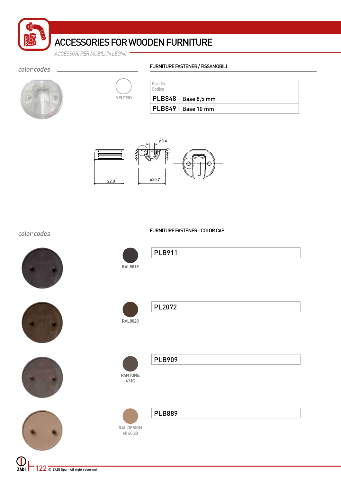

*ACCESSORI PER MOBILI IN LEGNO*





### color codes FURNITURE FASTENER / FISSAMOBILI

| Part Nr.             |  |
|----------------------|--|
| Codice               |  |
| PLB848 - Base 8,5 mm |  |
| PLB849 - Base 10 mm  |  |





color codes FURNITURE FASTENER - COLOR CAP

**RAL8019**









**RAL8028**















PLB889

PL2072

PLB909

PLB911

**RAL DESIGN 60 60 20**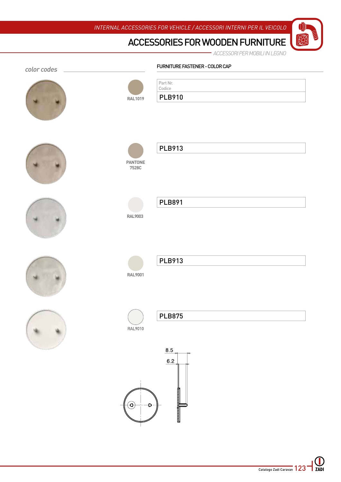*ACCESSORI PER MOBILI IN LEGNO*

ICC

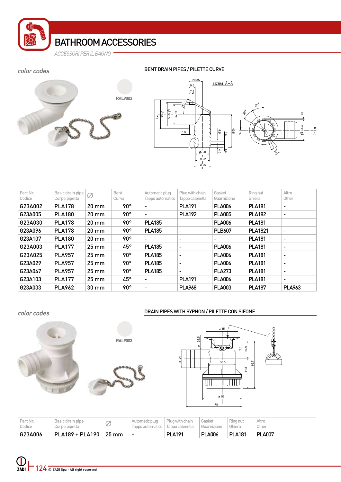

*ACCESSORI PER IL BAGNO*

#### color codes \_



### BENT DRAIN PIPES / PILETTE CURVE



| Part Nr.<br>Codice | Basic drain pipe<br>Corpo pipetta | Ø                   | Bent<br>Curva | Automatic plug<br>Tappo automatico | Plug with chain<br>Tappo catenella | Gasket<br>Guarnizione | Ring nut<br>Ghiera | Altro<br>Other           |
|--------------------|-----------------------------------|---------------------|---------------|------------------------------------|------------------------------------|-----------------------|--------------------|--------------------------|
| G23A002            | <b>PLA178</b>                     | 20 mm               | 90°           |                                    | <b>PLA191</b>                      | <b>PLA006</b>         | <b>PLA181</b>      | $\overline{\phantom{a}}$ |
| G23A005            | <b>PLA180</b>                     | $20 \text{ mm}$     | 90°           | ۰                                  | <b>PLA192</b>                      | <b>PLA005</b>         | <b>PLA182</b>      | $\overline{\phantom{a}}$ |
| G23A030            | <b>PLA178</b>                     | 20 mm               | 90°           | <b>PLA185</b>                      | $\overline{\phantom{a}}$           | <b>PLA006</b>         | <b>PLA181</b>      | $\overline{\phantom{a}}$ |
| G23A096            | <b>PLA178</b>                     | $20 \text{ mm}$     | $90^\circ$    | <b>PLA185</b>                      | $\overline{\phantom{a}}$           | <b>PLB607</b>         | <b>PLA1821</b>     | $\overline{\phantom{a}}$ |
| G23A107            | <b>PLA180</b>                     | $20 \, \text{mm}$   | $90^\circ$    | ۰                                  | ۰                                  | -                     | <b>PLA181</b>      | $\overline{\phantom{a}}$ |
| G23A003            | <b>PLA177</b>                     | $25 \text{ mm}$     | $45^{\circ}$  | <b>PLA185</b>                      | $\overline{\phantom{a}}$           | <b>PLA006</b>         | <b>PLA181</b>      | $\overline{\phantom{a}}$ |
| G23A025            | <b>PLA957</b>                     | $25 \text{ mm}$     | 90°           | <b>PLA185</b>                      | $\blacksquare$                     | <b>PLA006</b>         | <b>PLA181</b>      | ٠                        |
| G23A029            | <b>PLA957</b>                     | $25 \text{ mm}$     | 90°           | <b>PLA185</b>                      | $\overline{\phantom{a}}$           | <b>PLA006</b>         | <b>PLA181</b>      | $\overline{\phantom{a}}$ |
| G23A047            | <b>PLA957</b>                     | $25 \, \mathrm{mm}$ | $90^\circ$    | <b>PLA185</b>                      | $\overline{\phantom{a}}$           | <b>PLA273</b>         | <b>PLA181</b>      | ٠                        |
| G23A103            | <b>PLA177</b>                     | $25 \, \mathrm{mm}$ | $45^{\circ}$  |                                    | <b>PLA191</b>                      | <b>PLA006</b>         | <b>PLA181</b>      | ٠                        |
| G23A033            | <b>PLA962</b>                     | 30 mm               | $90^\circ$    | ۰                                  | <b>PLA968</b>                      | <b>PLA003</b>         | <b>PLA187</b>      | <b>PLA963</b>            |

color codes \_

### DRAIN PIPES WITH SYPHON / PILETTE CON SIFONE





| Part Nr.<br>Codice | Basic drain pipe<br>Corpo pipetta | ~<br>X          | Automatic plug | Plug with chain<br>anno catenella | Gasket        | Ring nut<br>Ghiera | Altro<br>Other |
|--------------------|-----------------------------------|-----------------|----------------|-----------------------------------|---------------|--------------------|----------------|
| G23A006            | PLA189 + PLA190                   | $25 \text{ mm}$ |                | <b>PLA191</b>                     | <b>PLA006</b> | <b>PLA181</b>      | <b>PLA007</b>  |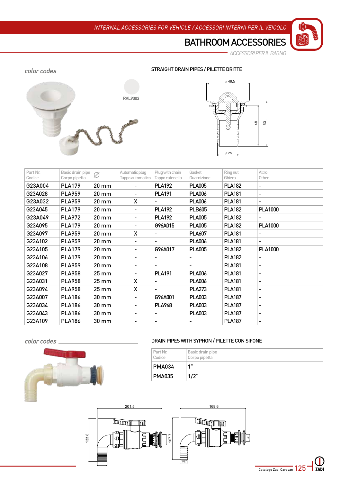*ACCESSORI PER IL BAGNO*

**EST** 



#### STRAIGHT DRAIN PIPES / PILETTE DRITTE



| Part Nr.<br>Codice | Basic drain pipe<br>Corpo pipetta | Ø                 | Automatic plug<br>Tappo automatico | Plug with chain<br>Tappo catenella | Gasket<br>Guarnizione | Ring nut<br>Ghiera | Altro<br>Other |
|--------------------|-----------------------------------|-------------------|------------------------------------|------------------------------------|-----------------------|--------------------|----------------|
| G23A004            | <b>PLA179</b>                     | 20 mm             |                                    | <b>PLA192</b>                      | <b>PLA005</b>         | <b>PLA182</b>      | -              |
| G23A028            | <b>PLA959</b>                     | $20 \text{ mm}$   |                                    | <b>PLA191</b>                      | <b>PLA006</b>         | <b>PLA181</b>      | ۰              |
| G23A032            | <b>PLA959</b>                     | 20 mm             | X                                  |                                    | <b>PLA006</b>         | <b>PLA181</b>      | ۰              |
| G23A045            | <b>PLA179</b>                     | 20 mm             |                                    | <b>PLA192</b>                      | <b>PLB605</b>         | <b>PLA182</b>      | <b>PLA1000</b> |
| G23A049            | <b>PLA972</b>                     | $20 \, \text{mm}$ |                                    | <b>PLA192</b>                      | <b>PLA005</b>         | <b>PLA182</b>      |                |
| G23A095            | <b>PLA179</b>                     | $20 \text{ mm}$   |                                    | G96A015                            | <b>PLA005</b>         | <b>PLA182</b>      | <b>PLA1000</b> |
| G23A097            | <b>PLA959</b>                     | 20 mm             | X                                  | ۰                                  | <b>PLA607</b>         | <b>PLA181</b>      | -              |
| G23A102            | <b>PLA959</b>                     | $20 \text{ mm}$   |                                    |                                    | <b>PLA006</b>         | <b>PLA181</b>      | -              |
| G23A105            | <b>PLA179</b>                     | $20 \text{ mm}$   |                                    | G96A017                            | <b>PLA005</b>         | <b>PLA182</b>      | <b>PLA1000</b> |
| G23A106            | <b>PLA179</b>                     | 20 mm             |                                    |                                    |                       | <b>PLA182</b>      | -              |
| G23A108            | <b>PLA959</b>                     | $20 \text{ mm}$   |                                    | ۰                                  | ۰                     | <b>PLA181</b>      | -              |
| G23A027            | <b>PLA958</b>                     | 25 mm             |                                    | <b>PLA191</b>                      | <b>PLA006</b>         | <b>PLA181</b>      | ۰              |
| G23A031            | <b>PLA958</b>                     | 25 mm             | X                                  | ۰                                  | <b>PLA006</b>         | <b>PLA181</b>      | ۰              |
| G23A094            | <b>PLA958</b>                     | 25 mm             | X                                  |                                    | <b>PLA273</b>         | <b>PLA181</b>      | ۰              |
| G23A007            | <b>PLA186</b>                     | 30 mm             |                                    | G96A001                            | <b>PLA003</b>         | <b>PLA187</b>      | ۰              |
| G23A034            | <b>PLA186</b>                     | 30 mm             |                                    | <b>PLA968</b>                      | <b>PLA003</b>         | <b>PLA187</b>      | ۰              |
| G23A043            | <b>PLA186</b>                     | 30 mm             |                                    |                                    | <b>PLA003</b>         | <b>PLA187</b>      | ۰              |
| G23A109            | <b>PLA186</b>                     | 30 mm             |                                    |                                    |                       | <b>PLA187</b>      |                |

color codes.



### DRAIN PIPES WITH SYPHON / PILETTE CON SIFONE

| Part Nr.<br>Codice | Basic drain pipe<br>Corpo pipetta |
|--------------------|-----------------------------------|
| PMA034             | 4 H                               |
| PMA035             | 1/2"                              |

Catalogo Zadi Caravan 125

ZADI

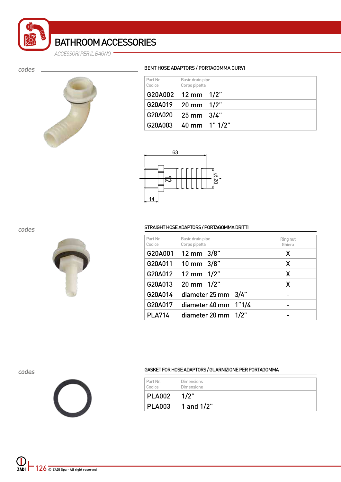

*ACCESSORI PER IL BAGNO*

codes



#### BENT HOSE ADAPTORS / PORTAGOMMA CURVI

| Part Nr.<br>Codice        | Basic drain pipe<br>Corpo pipetta |  |
|---------------------------|-----------------------------------|--|
| $G20A002$   12 mm $1/2$ " |                                   |  |
| $G20A019$ 20 mm $1/2$ "   |                                   |  |
| G20A020   25 mm $3/4$ "   |                                   |  |
| G20A003 40 mm 1" 1/2"     |                                   |  |



codes



#### STRAIGHT HOSE ADAPTORS / PORTAGOMMA DRITTI

| Part Nr.<br>Codice | Basic drain pipe<br>Corpo pipetta | Ring nut<br>Ghiera |
|--------------------|-----------------------------------|--------------------|
| G20A001            | 3/8"<br>$12 \text{ mm}$           | X                  |
| G20A011            | 3/8"<br>$10 \text{ mm}$           | X                  |
| G20A012            | $1/2$ "<br>$12 \text{ mm}$        | X                  |
| G20A013            | $1/2$ "<br>20 mm                  | Χ                  |
| G20A014            | diameter $25 \text{ mm}$ $3/4$ "  |                    |
| G20A017            | 1"1/4<br>diameter 40 mm           |                    |
| <b>PLA714</b>      | $1/2$ "<br>diameter 20 mm         |                    |

codes



| Part Nr.<br>Codice | Dimensions<br>Dimensione |
|--------------------|--------------------------|
| <b>PLA002</b>      | 1/2"                     |
| PLA003             | $\vert$ 1 and 1/2"       |